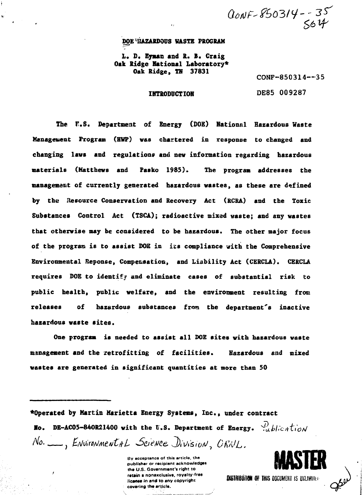CONF-850314--35

# **DOE HAZARDOUS WASTE PROGRAM L. D. Eymac and Ro B. Craig Oak Ridge Rational Laboratory\* Oak Ridge, TK 37831**

**CONF-850314—35**

**IMTRODDCTIOH DE85 009287**

**The f.S. Department of Energy (DOE) Hationul Hazardous Waste Management Program (HWP) was chartered in response to changed and changing lavs and regulations and new information regarding hazardous materials (Matthews and Pasko 1985). The program addresses the management of currently generated hazardous wastes, as these are defined by the Resource Conservation and Recovery Act (RCRA) and the Toxic Substances Control Act (TSCA); radioactive mixed waste; and any wastes that otherwise may be considered to be hazardous. The other major focus of the program is to assist DOE in its compliance with the Comprehensive Environmental Reponse, Compensation, and Liability Act (CERCLA). CERCLA requires DOE to identify and eliminate cases of substantial risk to public health, public welfare, and the environment resulting from releases of hazardous substances from the department's inactive hazardous waste sites.**

**One program is needed to assist all DOE sites with hazardous waste management and the retrofitting of facilities. Hazardous and mixed wastes are generated in significant quantities at more than 50**

**•Operated by Martin Marietta Energy Systems, Inc., under contract Ho.** DE-AC05-840R21400 with the U.S. Department of Energy.  $\frac{d}{dt}$ blication No. \_\_, Environmental Science Division, ORNL.

> **By acceptance of this article, the publisher or recipient acknowledges the U.S. Government's right to retain a nonexclusive, royalty-free MSTRIBUTION OF THIS DOCUMENT IS UNLIMITED** licanse in and to any copyright **covering the article.**

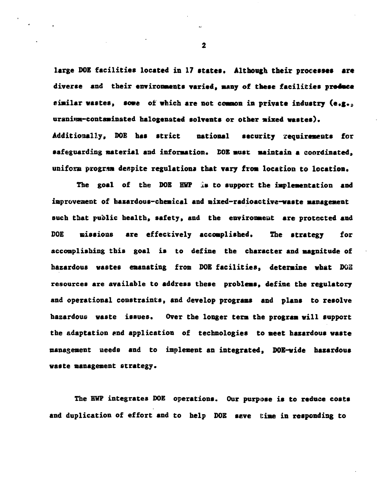large DOE facilities located in 17 states. Although their processes are **diverse and their environments varied, winy of these facilities produce** similar wastes, some of which are not common in private industry (e.g.s. **uranitsm-contaminsted halogenated solvents or other mixed wastes).** Additionally, DOE has strict national security requirements for **safeguarding naterial and information. SOB must Maintain a coordinated, unifoxs program despite regulations that vary from location to location.**

**The goal of the DOE HWF 1\* to support the implementation and improvement of hazardous-chemical and mixed-radioactive-waste management such that public health, safety, and the environment are protected and DOE missions are effectively accomplished. The strategy for accomplishing this goal is to define the character and magnitude of hazardous wastes emanating from DOE facilities, determine what DOE resources are available to address these problems, define the regulatory and operational constraints, and develop programs and plans to resolve hazardous waste issues. Over the longer term the program will support the adaptation «nd application of technologies to meet hazardous waste management needs and to implement an integrated, DOE-wide hazardous waste management strategy.**

**The HWP integrates DOE operations. Our purpose is to reduce eosts and duplication of effort and to help DOE seve (time in responding to**

 $\overline{\mathbf{z}}$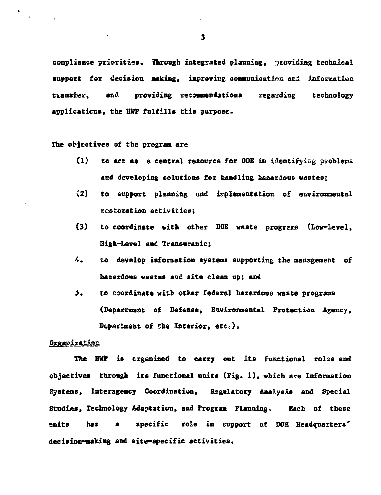**compliance priorities. Through integrated planning, providing technical support for decision making, improving coasuinication acd information** transfer, and providing recommendations regarding technology **applications, the HWP fulfills this purpose.**

**The objectives of the program are**

- **(1) to act as a central resource for DOE in identifying problems and developing solutions for handling hazardous wastes;**
- **(2) to support planning and implementation of environmental restoration activities;**
- **(3) to coordinate vith other DOE waste programs (Low-Level, Higfa-Level and Transuranic;**
- **4. to develop information systems supporting the management of hazardous wastes and site clean up; and**
- **5. to coordinate with other federal hazardous waste programs (Department of Defense, Environmental Protection Agency, Department of Che Interior, etc) \***

### Organization

**The HWP is organised to carry out its functional roles and objectives through its functional units (Fig. 1), which are Information Systems, Interagency Coordination, Regulatory Analysis and Special Studies, Technology Adaptation, and Program Planning. Each of these units has a specific role in support of DOS Headquarters' decision-making and site-specific activities.**

 $\overline{\mathbf{3}}$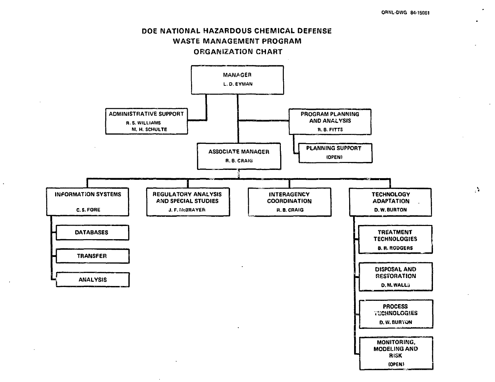



 $\ddot{\phantom{a}}$ 

 $\mathbf{y}_i$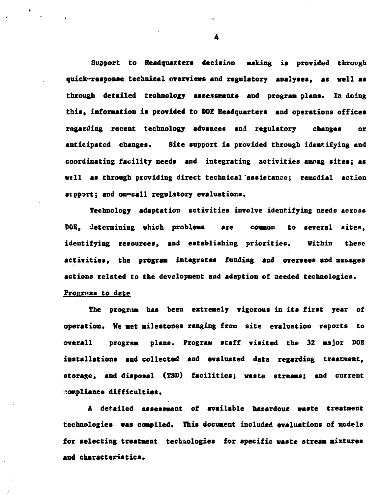**Support to Headquarters decision asking is provided through quick-response technical overviews and regulatory analyses, as well as through detailed technology assessments and program plans. ID doing tbis, information is provided to DOE Headquarters and operations offices regarding recent technology advances and regulatory changes or anticipated changes. Site support is provided through identifying and coordinating facility needs and integrating activities among sites; as well as through providing direct technical 'assistance; remedial action support; and on-call regulatory evaluations.**

**Technology adaptation activities involve identifying needs across** DOE, determining which problems are common to several sites, **identifying resources, and establishing priorities. Within these activities, the program integrates funding and oversees and manages actions related to the development and adaption of needed technologies.**

# **Progress to date**

**The program has been extremely vigorous in its first year of operation. He met milestones ranging from site evaluation reports to overall program plans. Program staff visited the 32 major DOE installations and collected and evaluated data regarding treatment, storage, and disposal (TSD) facilities; waste streams; and current compliance difficulties.**

**A detailed assessment of available hazardous waste treatment technologies was compiled. This document included evaluations of models for selecting treatment technologies for specific waste stream mixtures and characteristics.**

Ł.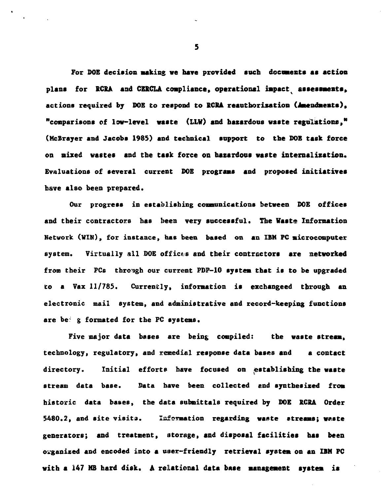For DOE decision making we have provided such documents as action **plans for RCRA and C2RCLA compliance, operational impactv assessments, actions required by DOB to respond to RCRA reautborixation Omtendmeats), "comparisons of low-level waste (LLV) and hazardous waste regulations," (McBrayer and Jacobs 1985) and technical support to the DOB task force on nixed wastes and the task force on hazardous waste internalization. Evaluations of several current DOE programs and proposed initiatives have also been prepared.**

**Our progress in establishing communications between DOE offices and their contractors has been very successful. The Waste Information Network. (WIN), fox instance, has been based on an IBM PC microcomputer** system. Virtually all DOE offices and their contractors are networked **from their PCs through our current PDP-1O system that is to be upgraded to a Vax 11/785. Currently, information is exchangeed through an electronic mail system, and administrative and record-keeping functions** are be g formated for the PC systems.

**Five major data bases are being compiled: the waste stream, technology, regulatory, and remedial response data bases and a contact directory. Initial efforts have focused on .establishing the waste 8tream data base. Data have been collected and synthesized from historic data bases, the data submittaIs required by DOE RCSA Order 5480.2, and site visits. Information regarding waste streams; waste generators; and treatment, ntorage, and disposal facilities has been organized and encoded into a u»er-friendly retrieval system on an IBM PC with a 147 MB hard disk. A relational data base management system is**

5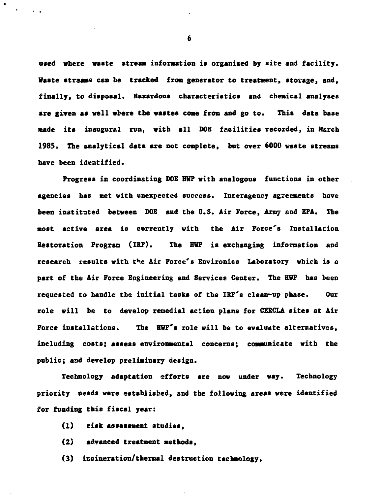**used where waste stream information is organized by site and facility. Waste strsaas can be tracked from generator to treatment, storage, and, finally, to disposal. Hazardous characteristics and chemical analyses are given as veil where the wastes come from and go to. This data base made its inaugural run, with all DOE facilities recorded, in March 1985c The analytical data are not complete, but over 6000 waste streams have been identified.**

**Progress in coordinsting DOE HWP with analogous functions in other agencies has met with unexpected success. Interagency agreements have been instituted between DOE and the D.S. Air Force, Army and EPA. The most active area is currently with the Air Force's Installation Restoration Program (IRP). The HWP is exchanging information and research results vith the Air Force's Environics Laboratory which is a part of the Air Force Engineering and Services Center. The HWP has been requested to handle the initial tasks of the IRP'8 clean-up phase. Our role will be to develop remedial action plans for CERCLA sites at Air Force installations. The HWP's role will be to evaluate alternatives, including costs; assess environmental concerns; communicate with the public; and develop preliminary design.**

**Technology adaptation efforts are now under way. Technology priority needs vere established, and the following areas vere identified for funding this fiscal year:**

- **(1) risk assessment studies,**
- **(2) advanced treatment methods,**
- **(3) incineration/thermal destruction technology.**

6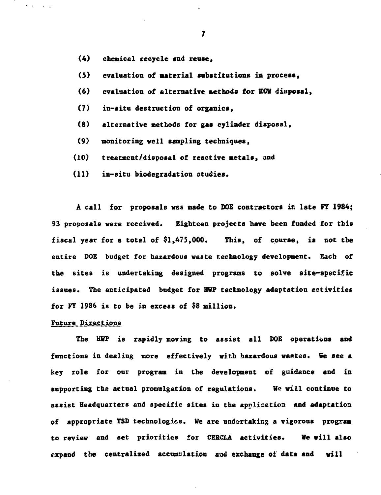**(4) chemical recycle and reuse,**

**(5) evaluation of Material substitutions in process,**

- **(6) evaluation of alternative auetbods for HCW diitposal,**
- **(7) in-situ destruction of organics,**
- **(8) alternative nethods for gas cylinder disposal,**
- **(9) monitoring veil sampling techniques,**
- **(10) treatnent/disposal of reactive metals, and**
- **(11) in-situ biodegradation studies.**

**A call for proposals was made to DOE contractors ic late FT 1984; 93 proposals were received. Eighteen projects have been funded for this fiscal year for a total of \$1,475,000. This, of course, is not the entire DOE budget for hazardous waste technology development. Each of the sites is undertaking designed programs to solve site-specific issues. The anticipated budget for HWP technology adaptation activities for FY 1986 is to be in excess of \$8 million.**

#### **Future Directions**

**The HWP is rapidly moving to assist all DOE operations and functions in dealing more effectively with hazardous wastes. We see a key role for our program in the development of guidance and in supporting the actual promulgation of regulations. We will continue to assist Headquarters and specific sites in the application and adaptation of appropriate TSD technologies. We are undertaking a vigorous program to review and set priorities for CERCLA activities. We will also expand the centralised accuawilation and exchange of data and will**

 $\overline{\mathbf{z}}$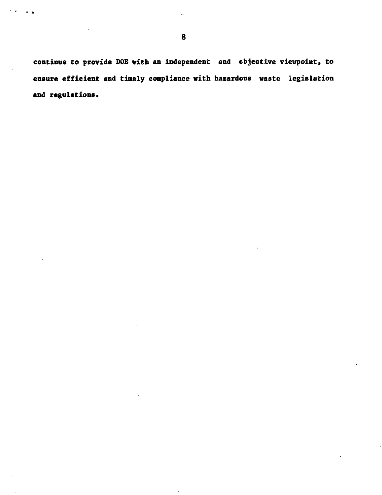**continue to provide DOE with an independent and objective viewpoint, to ensure efficient and timely compliance with hazardous waste legislation and regulations.**

 $\bullet$  .